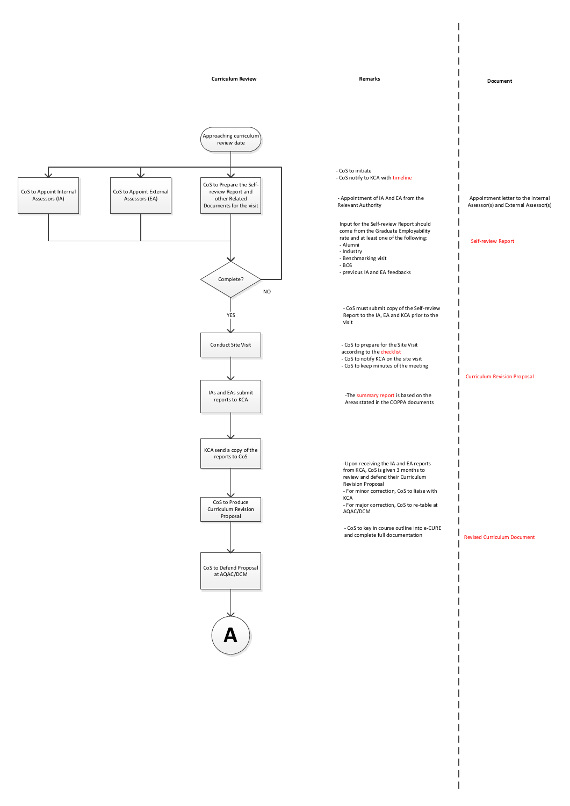